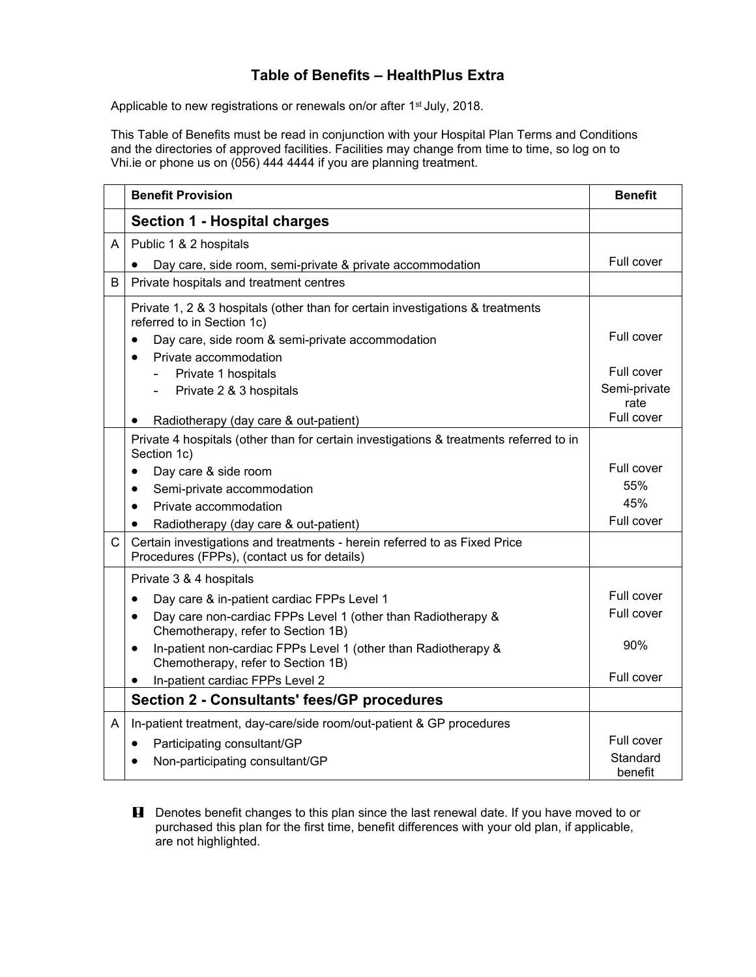## **Table of Benefits – HealthPlus Extra**

Applicable to new registrations or renewals on/or after 1<sup>st</sup> July, 2018.

This Table of Benefits must be read in conjunction with your Hospital Plan Terms and Conditions and the directories of approved facilities. Facilities may change from time to time, so log on to Vhi.ie or phone us on (056) 444 4444 if you are planning treatment.

|              | <b>Benefit Provision</b>                                                                                                 | <b>Benefit</b>       |
|--------------|--------------------------------------------------------------------------------------------------------------------------|----------------------|
|              | <b>Section 1 - Hospital charges</b>                                                                                      |                      |
| A            | Public 1 & 2 hospitals                                                                                                   |                      |
|              | Day care, side room, semi-private & private accommodation                                                                | Full cover           |
| B            | Private hospitals and treatment centres                                                                                  |                      |
|              | Private 1, 2 & 3 hospitals (other than for certain investigations & treatments<br>referred to in Section 1c)             |                      |
|              | Day care, side room & semi-private accommodation<br>$\bullet$                                                            | Full cover           |
|              | Private accommodation<br>$\bullet$                                                                                       |                      |
|              | Private 1 hospitals                                                                                                      | Full cover           |
|              | Private 2 & 3 hospitals                                                                                                  | Semi-private<br>rate |
|              | Radiotherapy (day care & out-patient)                                                                                    | Full cover           |
|              | Private 4 hospitals (other than for certain investigations & treatments referred to in<br>Section 1c)                    |                      |
|              | Day care & side room<br>$\bullet$                                                                                        | Full cover           |
|              | Semi-private accommodation<br>$\bullet$                                                                                  | 55%                  |
|              | Private accommodation<br>$\bullet$                                                                                       | 45%                  |
|              | Radiotherapy (day care & out-patient)                                                                                    | Full cover           |
| $\mathsf{C}$ | Certain investigations and treatments - herein referred to as Fixed Price<br>Procedures (FPPs), (contact us for details) |                      |
|              | Private 3 & 4 hospitals                                                                                                  |                      |
|              | Day care & in-patient cardiac FPPs Level 1<br>$\bullet$                                                                  | Full cover           |
|              | Day care non-cardiac FPPs Level 1 (other than Radiotherapy &<br>$\bullet$<br>Chemotherapy, refer to Section 1B)          | Full cover           |
|              | In-patient non-cardiac FPPs Level 1 (other than Radiotherapy &<br>$\bullet$<br>Chemotherapy, refer to Section 1B)        | 90%                  |
|              | In-patient cardiac FPPs Level 2                                                                                          | Full cover           |
|              | <b>Section 2 - Consultants' fees/GP procedures</b>                                                                       |                      |
| A            | In-patient treatment, day-care/side room/out-patient & GP procedures                                                     |                      |
|              | Participating consultant/GP<br>$\bullet$                                                                                 | Full cover           |
|              | Non-participating consultant/GP                                                                                          | Standard<br>benefit  |

**H** Denotes benefit changes to this plan since the last renewal date. If you have moved to or purchased this plan for the first time, benefit differences with your old plan, if applicable, are not highlighted.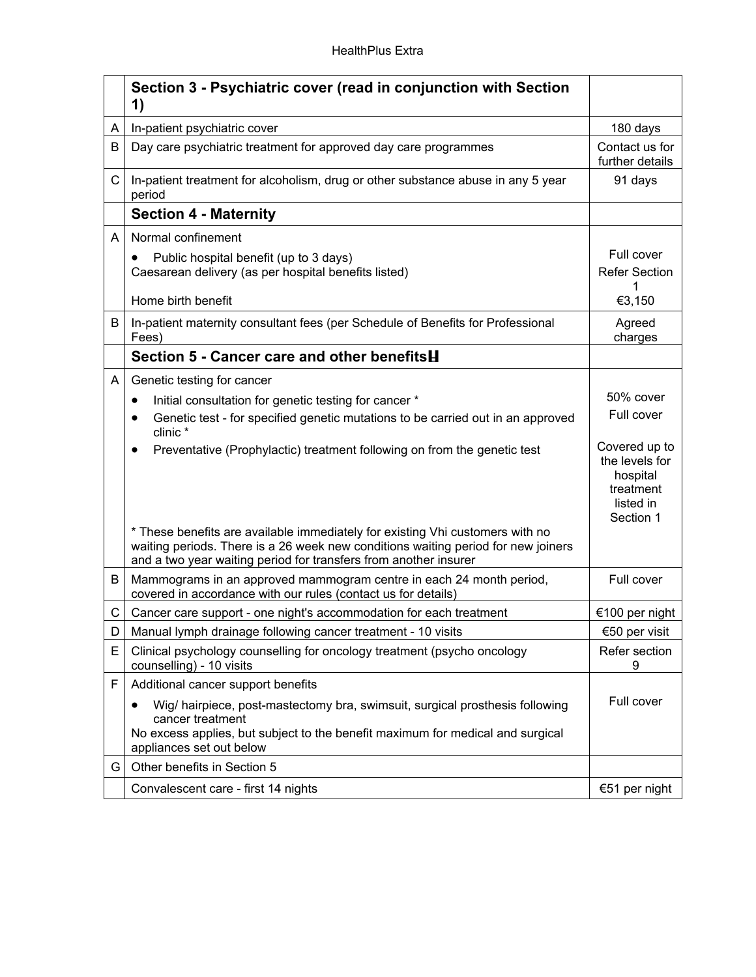|              | Section 3 - Psychiatric cover (read in conjunction with Section<br>1)                                                                                                                                                                  |                                                                                    |
|--------------|----------------------------------------------------------------------------------------------------------------------------------------------------------------------------------------------------------------------------------------|------------------------------------------------------------------------------------|
| A            | In-patient psychiatric cover                                                                                                                                                                                                           | 180 days                                                                           |
| B            | Day care psychiatric treatment for approved day care programmes                                                                                                                                                                        | Contact us for<br>further details                                                  |
| $\mathsf{C}$ | In-patient treatment for alcoholism, drug or other substance abuse in any 5 year<br>period                                                                                                                                             | 91 days                                                                            |
|              | <b>Section 4 - Maternity</b>                                                                                                                                                                                                           |                                                                                    |
| A            | Normal confinement                                                                                                                                                                                                                     |                                                                                    |
|              | Public hospital benefit (up to 3 days)<br>٠<br>Caesarean delivery (as per hospital benefits listed)                                                                                                                                    | Full cover<br><b>Refer Section</b><br>1                                            |
|              | Home birth benefit                                                                                                                                                                                                                     | €3,150                                                                             |
| B            | In-patient maternity consultant fees (per Schedule of Benefits for Professional<br>Fees)                                                                                                                                               | Agreed<br>charges                                                                  |
|              | Section 5 - Cancer care and other benefits <b>H</b>                                                                                                                                                                                    |                                                                                    |
| A            | Genetic testing for cancer                                                                                                                                                                                                             |                                                                                    |
|              | Initial consultation for genetic testing for cancer *<br>$\bullet$                                                                                                                                                                     | 50% cover                                                                          |
|              | Genetic test - for specified genetic mutations to be carried out in an approved<br>clinic*                                                                                                                                             | Full cover                                                                         |
|              | Preventative (Prophylactic) treatment following on from the genetic test<br>٠                                                                                                                                                          | Covered up to<br>the levels for<br>hospital<br>treatment<br>listed in<br>Section 1 |
|              | * These benefits are available immediately for existing Vhi customers with no<br>waiting periods. There is a 26 week new conditions waiting period for new joiners<br>and a two year waiting period for transfers from another insurer |                                                                                    |
| B            | Mammograms in an approved mammogram centre in each 24 month period,<br>covered in accordance with our rules (contact us for details)                                                                                                   | Full cover                                                                         |
| C            | Cancer care support - one night's accommodation for each treatment                                                                                                                                                                     | €100 per night                                                                     |
| D            | Manual lymph drainage following cancer treatment - 10 visits                                                                                                                                                                           | €50 per visit                                                                      |
| E            | Clinical psychology counselling for oncology treatment (psycho oncology<br>counselling) - 10 visits                                                                                                                                    | Refer section<br>9                                                                 |
| F            | Additional cancer support benefits                                                                                                                                                                                                     |                                                                                    |
|              | Wig/ hairpiece, post-mastectomy bra, swimsuit, surgical prosthesis following<br>cancer treatment<br>No excess applies, but subject to the benefit maximum for medical and surgical<br>appliances set out below                         | Full cover                                                                         |
| G            | Other benefits in Section 5                                                                                                                                                                                                            |                                                                                    |
|              | Convalescent care - first 14 nights                                                                                                                                                                                                    | €51 per night                                                                      |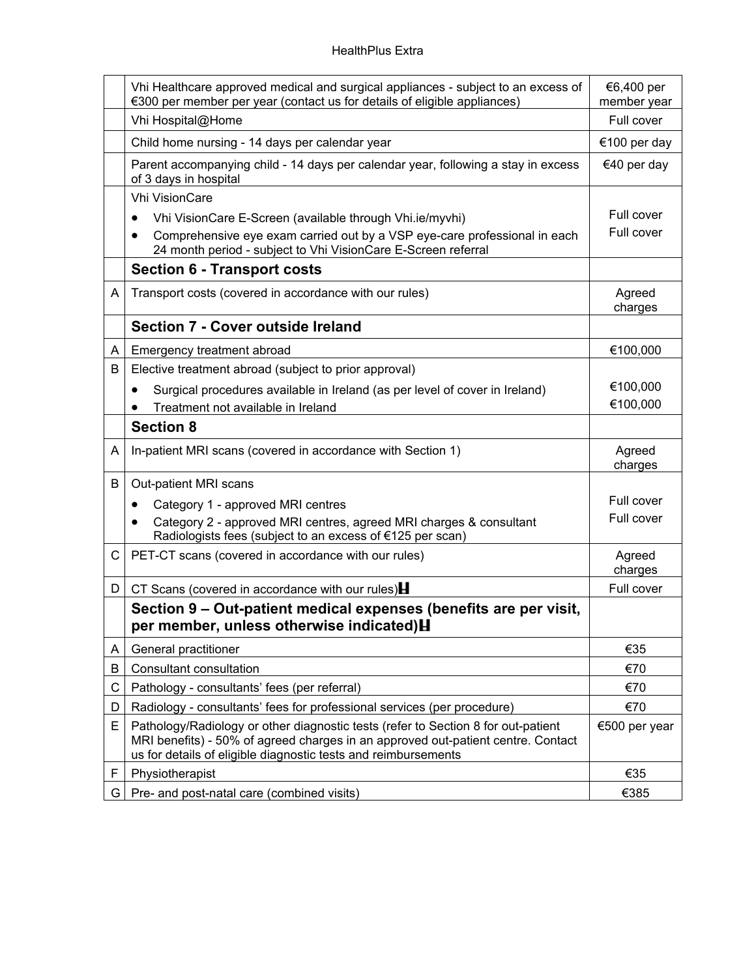|    | Vhi Healthcare approved medical and surgical appliances - subject to an excess of<br>€300 per member per year (contact us for details of eligible appliances)                                                                           | €6,400 per<br>member year |
|----|-----------------------------------------------------------------------------------------------------------------------------------------------------------------------------------------------------------------------------------------|---------------------------|
|    | Vhi Hospital@Home                                                                                                                                                                                                                       | Full cover                |
|    | Child home nursing - 14 days per calendar year                                                                                                                                                                                          | €100 per day              |
|    | Parent accompanying child - 14 days per calendar year, following a stay in excess<br>of 3 days in hospital                                                                                                                              | €40 per day               |
|    | <b>Vhi VisionCare</b>                                                                                                                                                                                                                   |                           |
|    | Vhi VisionCare E-Screen (available through Vhi.ie/myvhi)                                                                                                                                                                                | Full cover                |
|    | Comprehensive eye exam carried out by a VSP eye-care professional in each<br>24 month period - subject to Vhi VisionCare E-Screen referral                                                                                              | Full cover                |
|    | <b>Section 6 - Transport costs</b>                                                                                                                                                                                                      |                           |
| A  | Transport costs (covered in accordance with our rules)                                                                                                                                                                                  | Agreed<br>charges         |
|    | Section 7 - Cover outside Ireland                                                                                                                                                                                                       |                           |
| A  | Emergency treatment abroad                                                                                                                                                                                                              | €100,000                  |
| В  | Elective treatment abroad (subject to prior approval)                                                                                                                                                                                   |                           |
|    | Surgical procedures available in Ireland (as per level of cover in Ireland)<br>$\bullet$                                                                                                                                                | €100,000                  |
|    | Treatment not available in Ireland                                                                                                                                                                                                      | €100,000                  |
|    | <b>Section 8</b>                                                                                                                                                                                                                        |                           |
| A  | In-patient MRI scans (covered in accordance with Section 1)                                                                                                                                                                             | Agreed<br>charges         |
| B  | Out-patient MRI scans                                                                                                                                                                                                                   |                           |
|    | Category 1 - approved MRI centres<br>$\bullet$                                                                                                                                                                                          | Full cover                |
|    | Category 2 - approved MRI centres, agreed MRI charges & consultant<br>Radiologists fees (subject to an excess of €125 per scan)                                                                                                         | Full cover                |
| C  | PET-CT scans (covered in accordance with our rules)                                                                                                                                                                                     | Agreed<br>charges         |
| D  | CT Scans (covered in accordance with our rules) $\blacksquare$                                                                                                                                                                          | Full cover                |
|    | Section 9 – Out-patient medical expenses (benefits are per visit,<br>per member, unless otherwise indicated) H                                                                                                                          |                           |
| A  | General practitioner                                                                                                                                                                                                                    | €35                       |
| B  | Consultant consultation                                                                                                                                                                                                                 | €70                       |
| C  | Pathology - consultants' fees (per referral)                                                                                                                                                                                            | €70                       |
| D  | Radiology - consultants' fees for professional services (per procedure)                                                                                                                                                                 | €70                       |
| E  | Pathology/Radiology or other diagnostic tests (refer to Section 8 for out-patient<br>MRI benefits) - 50% of agreed charges in an approved out-patient centre. Contact<br>us for details of eligible diagnostic tests and reimbursements | €500 per year             |
| F. | Physiotherapist                                                                                                                                                                                                                         | €35                       |
| G  | Pre- and post-natal care (combined visits)                                                                                                                                                                                              | €385                      |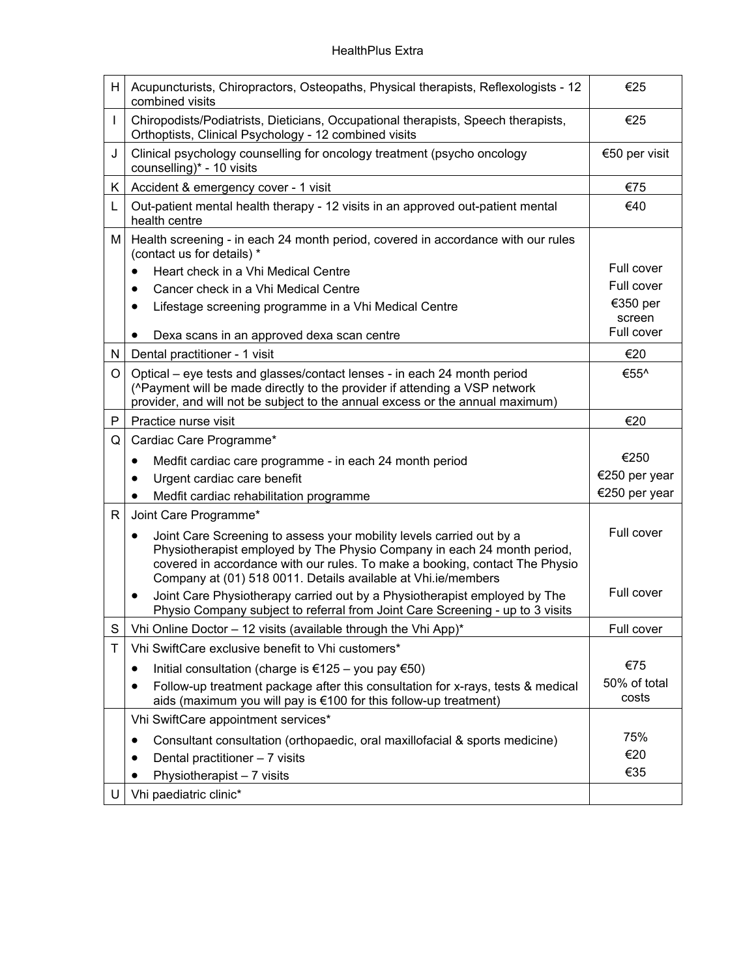| H. | Acupuncturists, Chiropractors, Osteopaths, Physical therapists, Reflexologists - 12<br>combined visits                                                                                                                                                                                          | €25                   |
|----|-------------------------------------------------------------------------------------------------------------------------------------------------------------------------------------------------------------------------------------------------------------------------------------------------|-----------------------|
|    | Chiropodists/Podiatrists, Dieticians, Occupational therapists, Speech therapists,<br>Orthoptists, Clinical Psychology - 12 combined visits                                                                                                                                                      | €25                   |
| J  | Clinical psychology counselling for oncology treatment (psycho oncology<br>counselling)* - 10 visits                                                                                                                                                                                            | €50 per visit         |
| K. | Accident & emergency cover - 1 visit                                                                                                                                                                                                                                                            | €75                   |
| L  | Out-patient mental health therapy - 12 visits in an approved out-patient mental<br>health centre                                                                                                                                                                                                | €40                   |
| М  | Health screening - in each 24 month period, covered in accordance with our rules<br>(contact us for details) *                                                                                                                                                                                  |                       |
|    | Heart check in a Vhi Medical Centre<br>$\bullet$                                                                                                                                                                                                                                                | Full cover            |
|    | Cancer check in a Vhi Medical Centre<br>$\bullet$                                                                                                                                                                                                                                               | Full cover            |
|    | Lifestage screening programme in a Vhi Medical Centre<br>$\bullet$                                                                                                                                                                                                                              | €350 per              |
|    |                                                                                                                                                                                                                                                                                                 | screen<br>Full cover  |
|    | Dexa scans in an approved dexa scan centre<br>٠                                                                                                                                                                                                                                                 |                       |
| N  | Dental practitioner - 1 visit                                                                                                                                                                                                                                                                   | €20                   |
| O  | Optical - eye tests and glasses/contact lenses - in each 24 month period                                                                                                                                                                                                                        | €55^                  |
|    | (^Payment will be made directly to the provider if attending a VSP network<br>provider, and will not be subject to the annual excess or the annual maximum)                                                                                                                                     |                       |
| P  | Practice nurse visit                                                                                                                                                                                                                                                                            | €20                   |
| Q  | Cardiac Care Programme*                                                                                                                                                                                                                                                                         |                       |
|    | Medfit cardiac care programme - in each 24 month period<br>$\bullet$                                                                                                                                                                                                                            | €250                  |
|    | Urgent cardiac care benefit                                                                                                                                                                                                                                                                     | €250 per year         |
|    | Medfit cardiac rehabilitation programme                                                                                                                                                                                                                                                         | €250 per year         |
| R  | Joint Care Programme*                                                                                                                                                                                                                                                                           |                       |
|    | Joint Care Screening to assess your mobility levels carried out by a<br>Physiotherapist employed by The Physio Company in each 24 month period,<br>covered in accordance with our rules. To make a booking, contact The Physio<br>Company at (01) 518 0011. Details available at Vhi.ie/members | Full cover            |
|    | Joint Care Physiotherapy carried out by a Physiotherapist employed by The<br>٠<br>Physio Company subject to referral from Joint Care Screening - up to 3 visits                                                                                                                                 | Full cover            |
| S  | Vhi Online Doctor - 12 visits (available through the Vhi App)*                                                                                                                                                                                                                                  | Full cover            |
| T  | Vhi SwiftCare exclusive benefit to Vhi customers*                                                                                                                                                                                                                                               |                       |
|    | Initial consultation (charge is €125 – you pay €50)                                                                                                                                                                                                                                             | €75                   |
|    | Follow-up treatment package after this consultation for x-rays, tests & medical<br>$\bullet$<br>aids (maximum you will pay is €100 for this follow-up treatment)                                                                                                                                | 50% of total<br>costs |
|    | Vhi SwiftCare appointment services*                                                                                                                                                                                                                                                             |                       |
|    | Consultant consultation (orthopaedic, oral maxillofacial & sports medicine)<br>$\bullet$                                                                                                                                                                                                        | 75%                   |
|    | Dental practitioner - 7 visits                                                                                                                                                                                                                                                                  | €20                   |
|    | Physiotherapist - 7 visits                                                                                                                                                                                                                                                                      | €35                   |
| U  | Vhi paediatric clinic*                                                                                                                                                                                                                                                                          |                       |